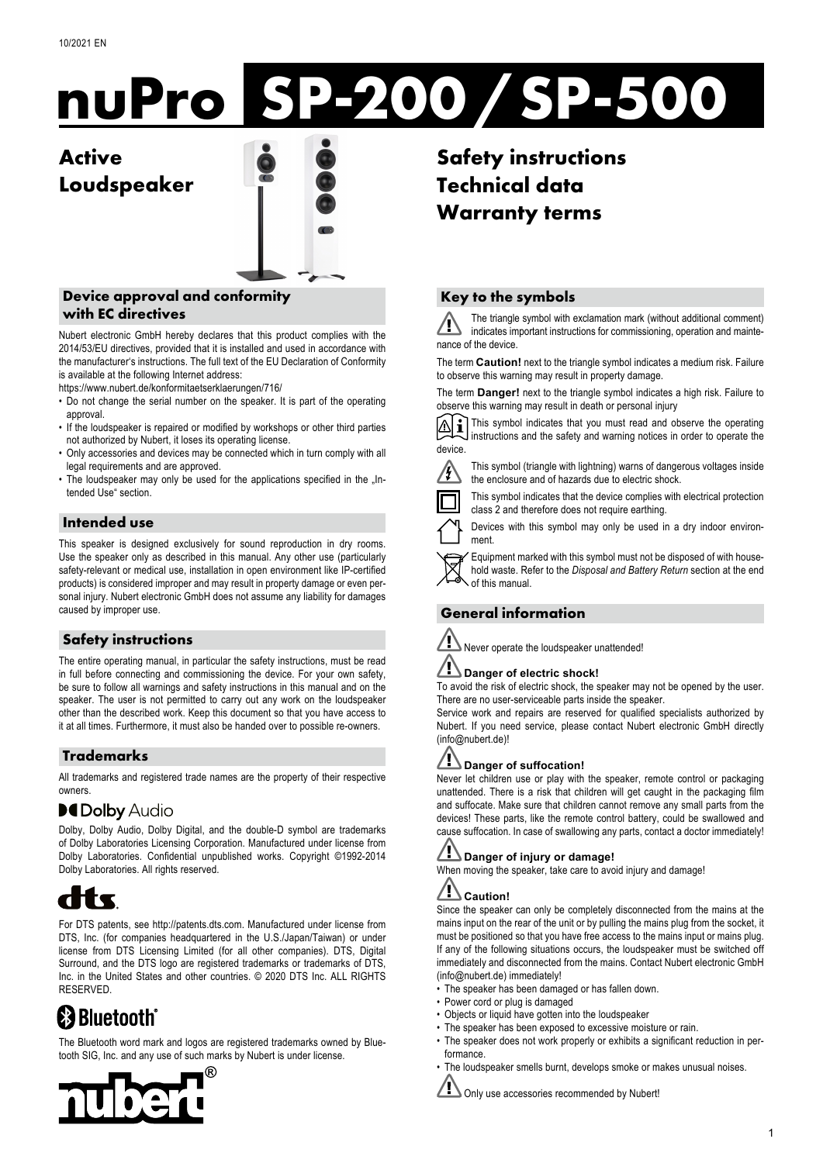# **nuPro SP-200/SP-500**

# **Active Loudspeaker**



# **Device approval and conformity with EC directives**

Nubert electronic GmbH hereby declares that this product complies with the 2014/53/EU directives, provided that it is installed and used in accordance with the manufacturer's instructions. The full text of the EU Declaration of Conformity is available at the following Internet address:

https://www.nubert.de/konformitaetserklaerungen/716/

- Do not change the serial number on the speaker. It is part of the operating approval.
- If the loudspeaker is repaired or modified by workshops or other third parties not authorized by Nubert, it loses its operating license.
- Only accessories and devices may be connected which in turn comply with all legal requirements and are approved.
- The loudspeaker may only be used for the applications specified in the "Intended Use" section.

# **Intended use**

This speaker is designed exclusively for sound reproduction in dry rooms. Use the speaker only as described in this manual. Any other use (particularly safety-relevant or medical use, installation in open environment like IP-certified products) is considered improper and may result in property damage or even personal injury. Nubert electronic GmbH does not assume any liability for damages caused by improper use.

# **Safety instructions**

The entire operating manual, in particular the safety instructions, must be read in full before connecting and commissioning the device. For your own safety, be sure to follow all warnings and safety instructions in this manual and on the speaker. The user is not permitted to carry out any work on the loudspeaker other than the described work. Keep this document so that you have access to it at all times. Furthermore, it must also be handed over to possible re-owners.

# **Trademarks**

All trademarks and registered trade names are the property of their respective owners.

# **DCDolby Audio**

Dolby, Dolby Audio, Dolby Digital, and the double-D symbol are trademarks of Dolby Laboratories Licensing Corporation. Manufactured under license from Dolby Laboratories. Confidential unpublished works. Copyright ©1992-2014 Dolby Laboratories. All rights reserved.



For DTS patents, see http://patents.dts.com. Manufactured under license from DTS, Inc. (for companies headquartered in the U.S./Japan/Taiwan) or under license from DTS Licensing Limited (for all other companies). DTS, Digital Surround, and the DTS logo are registered trademarks or trademarks of DTS, Inc. in the United States and other countries. © 2020 DTS Inc. ALL RIGHTS RESERVED.

# **E3 Bluetooth**

The Bluetooth word mark and logos are registered trademarks owned by Bluetooth SIG, Inc. and any use of such marks by Nubert is under license.



**Safety instructions Technical data Warranty terms**

# **Key to the symbols**

The triangle symbol with exclamation mark (without additional comment) indicates important instructions for commissioning, operation and maintenance of the device.

The term **Caution!** next to the triangle symbol indicates a medium risk. Failure to observe this warning may result in property damage.

The term **Danger!** next to the triangle symbol indicates a high risk. Failure to observe this warning may result in death or personal injury

 $\overline{\triangledown}$ This symbol indicates that you must read and observe the operating instructions and the safety and warning notices in order to operate the device.



This symbol (triangle with lightning) warns of dangerous voltages inside the enclosure and of hazards due to electric shock.

This symbol indicates that the device complies with electrical protection class 2 and therefore does not require earthing.

Devices with this symbol may only be used in a dry indoor environment.

Equipment marked with this symbol must not be disposed of with household waste. Refer to the *Disposal and Battery Return* section at the end of this manual.

# **General information**



# Never operate the loudspeaker unattended!

# **Danger of electric shock!**

To avoid the risk of electric shock, the speaker may not be opened by the user. There are no user-serviceable parts inside the speaker.

Service work and repairs are reserved for qualified specialists authorized by Nubert. If you need service, please contact Nubert electronic GmbH directly (info@nubert.de)!

# **Danger of suffocation!**

Never let children use or play with the speaker, remote control or packaging unattended. There is a risk that children will get caught in the packaging film and suffocate. Make sure that children cannot remove any small parts from the devices! These parts, like the remote control battery, could be swallowed and cause suffocation. In case of swallowing any parts, contact a doctor immediately!

#### <u>/I\</u> **Danger of injury or damage!**

When moving the speaker, take care to avoid injury and damage!

# **Caution!**

Since the speaker can only be completely disconnected from the mains at the mains input on the rear of the unit or by pulling the mains plug from the socket, it must be positioned so that you have free access to the mains input or mains plug. If any of the following situations occurs, the loudspeaker must be switched off immediately and disconnected from the mains. Contact Nubert electronic GmbH (info@nubert.de) immediately!

- The speaker has been damaged or has fallen down.
- Power cord or plug is damaged
- Objects or liquid have gotten into the loudspeaker
- The speaker has been exposed to excessive moisture or rain.
- The speaker does not work properly or exhibits a significant reduction in performance.
- The loudspeaker smells burnt, develops smoke or makes unusual noises.

Only use accessories recommended by Nubert!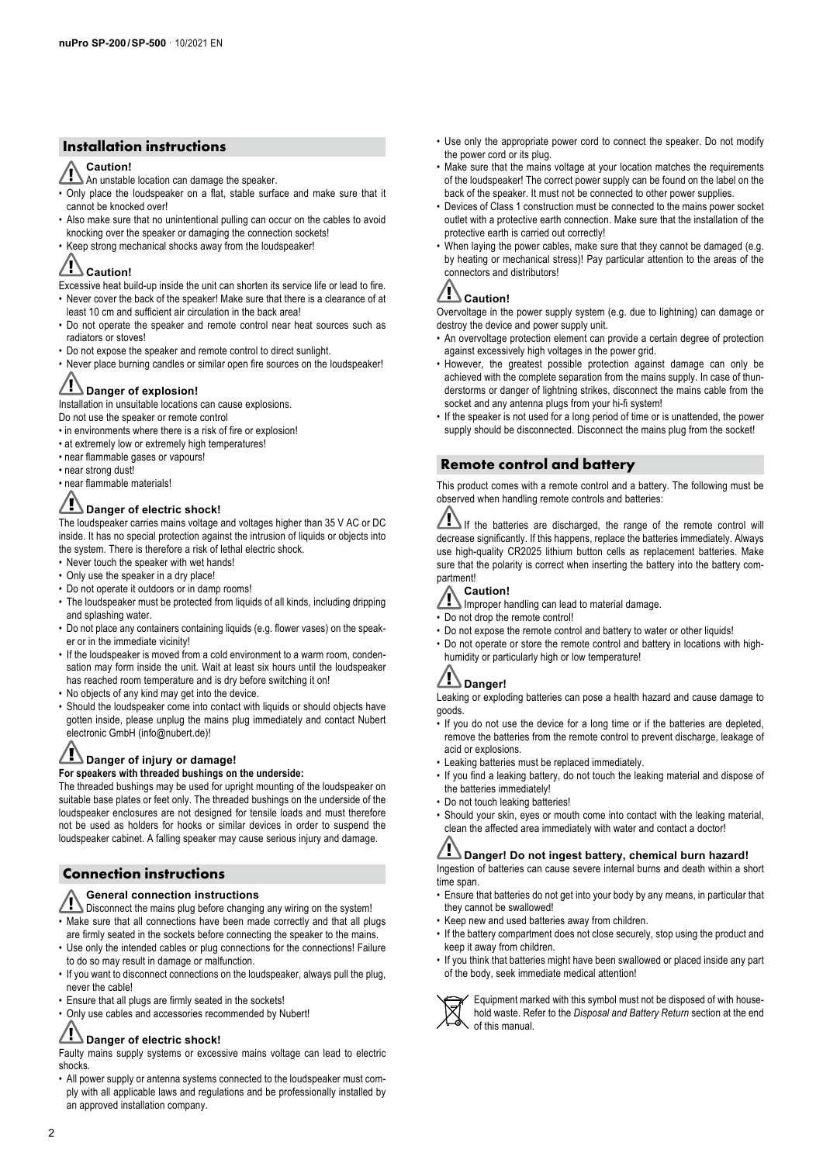# **Installation instructions**

# **Caution!**

- An unstable location can damage the speaker.
- Only place the loudspeaker on a flat, stable surface and make sure that it cannot be knocked over!
- Also make sure that no unintentional pulling can occur on the cables to avoid knocking over the speaker or damaging the connection sockets!
- Keep strong mechanical shocks away from the loudspeaker!

#### <u>/I\</u> **Caution!**

- Excessive heat build-up inside the unit can shorten its service life or lead to fire.
- Never cover the back of the speaker! Make sure that there is a clearance of at least 10 cm and sufficient air circulation in the back area!
- Do not operate the speaker and remote control near heat sources such as radiators or stoves!
- Do not expose the speaker and remote control to direct sunlight.
- Never place burning candles or similar open fire sources on the loudspeaker!

# **Danger of explosion!**

Installation in unsuitable locations can cause explosions. Do not use the speaker or remote control

- in environments where there is a risk of fire or explosion!
- at extremely low or extremely high temperatures!
- near flammable gases or vapours!
- near strong dust!
- near flammable materials!

# **Danger of electric shock!**

The loudspeaker carries mains voltage and voltages higher than 35 V AC or DC inside. It has no special protection against the intrusion of liquids or objects into the system. There is therefore a risk of lethal electric shock.

- Never touch the speaker with wet hands!
- Only use the speaker in a dry place!
- Do not operate it outdoors or in damp rooms!
- The loudspeaker must be protected from liquids of all kinds, including dripping and splashing water.
- Do not place any containers containing liquids (e.g. flower vases) on the speaker or in the immediate vicinity!
- If the loudspeaker is moved from a cold environment to a warm room, condensation may form inside the unit. Wait at least six hours until the loudspeaker has reached room temperature and is dry before switching it on!
- No objects of any kind may get into the device.
- Should the loudspeaker come into contact with liquids or should objects have gotten inside, please unplug the mains plug immediately and contact Nubert electronic GmbH (info@nubert.de)!

#### <u>/I\</u> **Danger of injury or damage!**

# **For speakers with threaded bushings on the underside:**

The threaded bushings may be used for upright mounting of the loudspeaker on suitable base plates or feet only. The threaded bushings on the underside of the loudspeaker enclosures are not designed for tensile loads and must therefore not be used as holders for hooks or similar devices in order to suspend the loudspeaker cabinet. A falling speaker may cause serious injury and damage.

# **Connection instructions**

### **General connection instructions**

- **Disconnect the mains plug before changing any wiring on the system!** • Make sure that all connections have been made correctly and that all plugs
- are firmly seated in the sockets before connecting the speaker to the mains. • Use only the intended cables or plug connections for the connections! Failure
- to do so may result in damage or malfunction. • If you want to disconnect connections on the loudspeaker, always pull the plug,
- never the cable!
- Ensure that all plugs are firmly seated in the sockets!
- Only use cables and accessories recommended by Nubert!

#### <u>/F</u> **Danger of electric shock!**

Faulty mains supply systems or excessive mains voltage can lead to electric shocks.

• All power supply or antenna systems connected to the loudspeaker must comply with all applicable laws and regulations and be professionally installed by an approved installation company.

- Use only the appropriate power cord to connect the speaker. Do not modify the power cord or its plug.
- Make sure that the mains voltage at your location matches the requirements of the loudspeaker! The correct power supply can be found on the label on the back of the speaker. It must not be connected to other power supplies.
- Devices of Class 1 construction must be connected to the mains power socket outlet with a protective earth connection. Make sure that the installation of the protective earth is carried out correctly!
- When laying the power cables, make sure that they cannot be damaged (e.g. by heating or mechanical stress)! Pay particular attention to the areas of the connectors and distributors!

# **Caution!**

Overvoltage in the power supply system (e.g. due to lightning) can damage or destroy the device and power supply unit.

- An overvoltage protection element can provide a certain degree of protection against excessively high voltages in the power grid.
- However, the greatest possible protection against damage can only be achieved with the complete separation from the mains supply. In case of thunderstorms or danger of lightning strikes, disconnect the mains cable from the socket and any antenna plugs from your hi-fi system!
- If the speaker is not used for a long period of time or is unattended, the power supply should be disconnected. Disconnect the mains plug from the socket!

# **Remote control and battery**

This product comes with a remote control and a battery. The following must be observed when handling remote controls and batteries:

If the batteries are discharged, the range of the remote control will decrease significantly. If this happens, replace the batteries immediately. Always use high-quality CR2025 lithium button cells as replacement batteries. Make sure that the polarity is correct when inserting the battery into the battery compartment!

# **Caution!**

- Improper handling can lead to material damage.
- Do not drop the remote control!
- Do not expose the remote control and battery to water or other liquids!
- Do not operate or store the remote control and battery in locations with highhumidity or particularly high or low temperature!

# **Danger!**

Leaking or exploding batteries can pose a health hazard and cause damage to goods.

- If you do not use the device for a long time or if the batteries are depleted, remove the batteries from the remote control to prevent discharge, leakage of acid or explosions.
- Leaking batteries must be replaced immediately.
- If you find a leaking battery, do not touch the leaking material and dispose of the batteries immediately!
- Do not touch leaking batteries!
- Should your skin, eyes or mouth come into contact with the leaking material, clean the affected area immediately with water and contact a doctor!

#### /!\ **Danger! Do not ingest battery, chemical burn hazard!**

Ingestion of batteries can cause severe internal burns and death within a short time span.

- Ensure that batteries do not get into your body by any means, in particular that they cannot be swallowed!
- Keep new and used batteries away from children.
- If the battery compartment does not close securely, stop using the product and keep it away from children.
- If you think that batteries might have been swallowed or placed inside any part of the body, seek immediate medical attention!

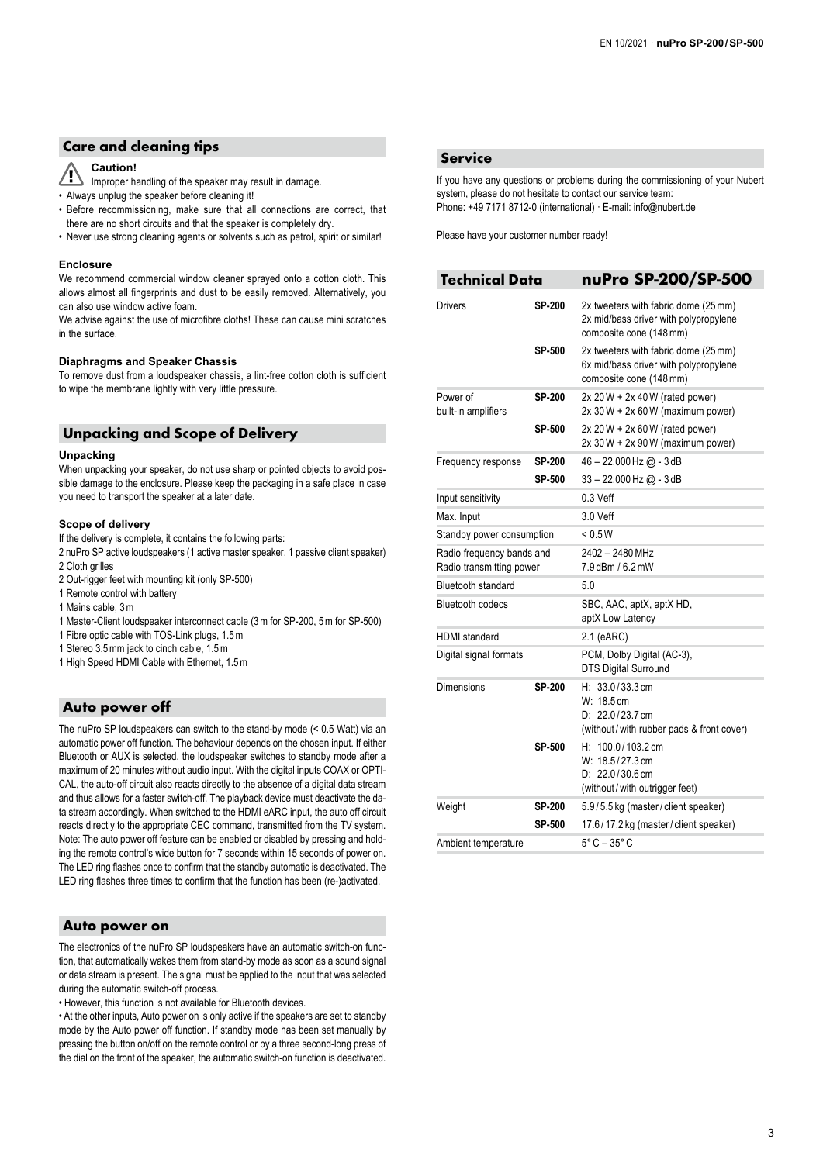# **Care and cleaning tips**

#### **Caution!**  ∕Г

- Improper handling of the speaker may result in damage.
- Always unplug the speaker before cleaning it!
- Before recommissioning, make sure that all connections are correct, that there are no short circuits and that the speaker is completely dry.
- Never use strong cleaning agents or solvents such as petrol, spirit or similar!

### **Enclosure**

We recommend commercial window cleaner sprayed onto a cotton cloth. This allows almost all fingerprints and dust to be easily removed. Alternatively, you can also use window active foam.

We advise against the use of microfibre cloths! These can cause mini scratches in the surface.

# **Diaphragms and Speaker Chassis**

To remove dust from a loudspeaker chassis, a lint-free cotton cloth is sufficient to wipe the membrane lightly with very little pressure.

# **Unpacking and Scope of Delivery**

### **Unpacking**

When unpacking your speaker, do not use sharp or pointed objects to avoid possible damage to the enclosure. Please keep the packaging in a safe place in case you need to transport the speaker at a later date.

# **Scope of delivery**

If the delivery is complete, it contains the following parts:

2 nuPro SP active loudspeakers (1 active master speaker, 1 passive client speaker) 2 Cloth grilles

- 2 Out-rigger feet with mounting kit (only SP-500)
- 1 Remote control with battery
- 1 Mains cable, 3m
- 1 Master-Client loudspeaker interconnect cable (3m for SP-200, 5m for SP-500)
- 1 Fibre optic cable with TOS-Link plugs, 1.5m
- 1 Stereo 3.5mm jack to cinch cable, 1.5m
- 1 High Speed HDMI Cable with Ethernet, 1.5m

# **Auto power off**

The nuPro SP loudspeakers can switch to the stand-by mode (< 0.5 Watt) via an automatic power off function. The behaviour depends on the chosen input. If either Bluetooth or AUX is selected, the loudspeaker switches to standby mode after a maximum of 20 minutes without audio input. With the digital inputs COAX or OPTI-CAL, the auto-off circuit also reacts directly to the absence of a digital data stream and thus allows for a faster switch-off. The playback device must deactivate the data stream accordingly. When switched to the HDMI eARC input, the auto off circuit reacts directly to the appropriate CEC command, transmitted from the TV system. Note: The auto power off feature can be enabled or disabled by pressing and holding the remote control's wide button for 7 seconds within 15 seconds of power on. The LED ring flashes once to confirm that the standby automatic is deactivated. The LED ring flashes three times to confirm that the function has been (re-)activated.

# **Auto power on**

The electronics of the nuPro SP loudspeakers have an automatic switch-on function, that automatically wakes them from stand-by mode as soon as a sound signal or data stream is present. The signal must be applied to the input that was selected during the automatic switch-off process.

• However, this function is not available for Bluetooth devices.

• At the other inputs, Auto power on is only active if the speakers are set to standby mode by the Auto power off function. If standby mode has been set manually by pressing the button on/off on the remote control or by a three second-long press of the dial on the front of the speaker, the automatic switch-on function is deactivated.

# **Service**

If you have any questions or problems during the commissioning of your Nubert system, please do not hesitate to contact our service team: Phone: +49 7171 8712-0 (international) · E-mail: info@nubert.de

Please have your customer number ready!

| <b>Technical Data</b>                                 |                         | nuPro SP-200/SP-500                                                                                      |
|-------------------------------------------------------|-------------------------|----------------------------------------------------------------------------------------------------------|
| <b>Drivers</b>                                        | <b>SP-200</b>           | 2x tweeters with fabric dome (25 mm)<br>2x mid/bass driver with polypropylene<br>composite cone (148 mm) |
|                                                       | SP-500                  | 2x tweeters with fabric dome (25 mm)<br>6x mid/bass driver with polypropylene<br>composite cone (148 mm) |
| Power of<br>built-in amplifiers                       | SP-200                  | $2x 20 W + 2x 40 W$ (rated power)<br>$2x 30 W + 2x 60 W$ (maximum power)                                 |
|                                                       | SP-500                  | $2x 20 W + 2x 60 W$ (rated power)<br>$2x 30 W + 2x 90 W$ (maximum power)                                 |
| Frequency response                                    | <b>SP-200</b><br>SP-500 | 46 - 22.000 Hz @ - 3 dB<br>$33 - 22.000$ Hz $@ - 3$ dB                                                   |
| Input sensitivity                                     |                         | $0.3$ Veff                                                                                               |
| Max. Input                                            |                         | 3.0 Veff                                                                                                 |
| Standby power consumption                             |                         | < 0.5W                                                                                                   |
| Radio frequency bands and<br>Radio transmitting power |                         | 2402 - 2480 MHz<br>7.9 dBm / 6.2 mW                                                                      |
| <b>Bluetooth standard</b>                             |                         | 5.0                                                                                                      |
| <b>Bluetooth codecs</b>                               |                         | SBC, AAC, aptX, aptX HD,<br>aptX Low Latency                                                             |
| <b>HDMI</b> standard                                  |                         | $2.1$ (eARC)                                                                                             |
| Digital signal formats                                |                         | PCM, Dolby Digital (AC-3),<br><b>DTS Digital Surround</b>                                                |
| Dimensions                                            | SP-200                  | $H: 33.0/33.3$ cm<br>W: 18.5 cm<br>D: 22.0/23.7 cm<br>(without/with rubber pads & front cover)           |
|                                                       | SP-500                  | $H: 100.0/103.2 \text{ cm}$<br>W: 18.5/27.3 cm<br>$D: 22.0/30.6$ cm<br>(without/with outrigger feet)     |
| Weight                                                | <b>SP-200</b>           | 5.9/5.5 kg (master/client speaker)                                                                       |
|                                                       | SP-500                  | 17.6/17.2 kg (master/client speaker)                                                                     |
| Ambient temperature                                   |                         | $5^{\circ}$ C – $35^{\circ}$ C                                                                           |